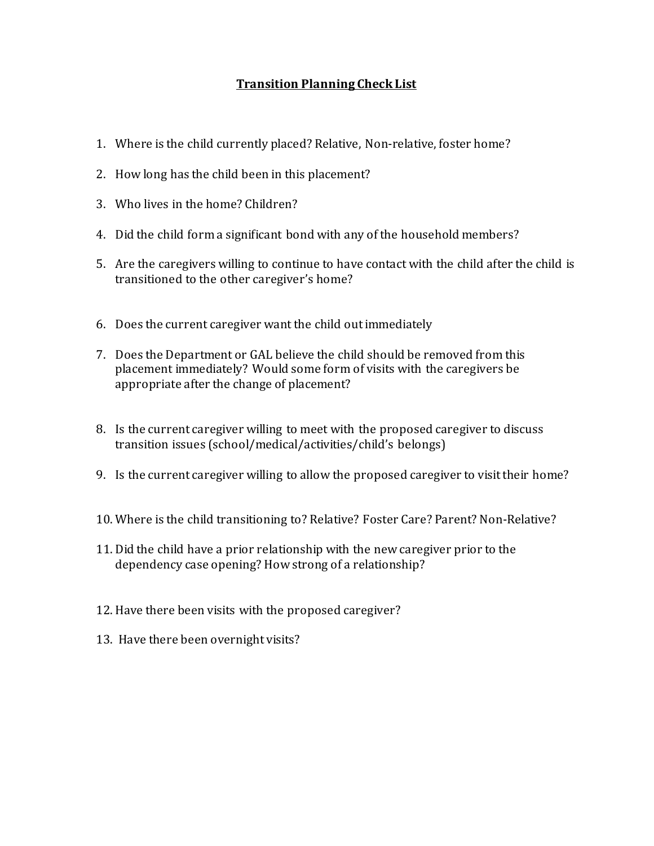## **Transition Planning Check List**

- 1. Where is the child currently placed? Relative, Non-relative, foster home?
- 2. How long has the child been in this placement?
- 3. Who lives in the home? Children?
- 4. Did the child form a significant bond with any of the household members?
- 5. Are the caregivers willing to continue to have contact with the child after the child is transitioned to the other caregiver's home?
- 6. Does the current caregiver want the child out immediately
- 7. Does the Department or GAL believe the child should be removed from this placement immediately? Would some form of visits with the caregivers be appropriate after the change of placement?
- 8. Is the current caregiver willing to meet with the proposed caregiver to discuss transition issues (school/medical/activities/child's belongs)
- 9. Is the current caregiver willing to allow the proposed caregiver to visit their home?
- 10. Where is the child transitioning to? Relative? Foster Care? Parent? Non-Relative?
- 11. Did the child have a prior relationship with the new caregiver prior to the dependency case opening? How strong of a relationship?
- 12.Have there been visits with the proposed caregiver?
- 13. Have there been overnight visits?